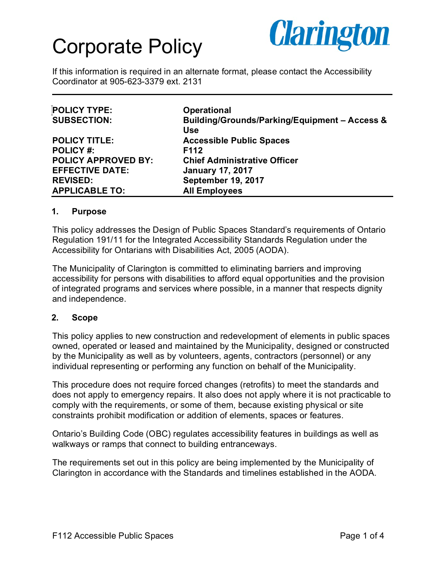

If this information is required in an alternate format, please contact the Accessibility Coordinator at 905-623-3379 ext. 2131

| <b>POLICY TYPE:</b>        | <b>Operational</b>                            |
|----------------------------|-----------------------------------------------|
| <b>SUBSECTION:</b>         | Building/Grounds/Parking/Equipment - Access & |
|                            | <b>Use</b>                                    |
| <b>POLICY TITLE:</b>       | <b>Accessible Public Spaces</b>               |
| <b>POLICY #:</b>           | F112                                          |
| <b>POLICY APPROVED BY:</b> | <b>Chief Administrative Officer</b>           |
| <b>EFFECTIVE DATE:</b>     | <b>January 17, 2017</b>                       |
| <b>REVISED:</b>            | <b>September 19, 2017</b>                     |
| <b>APPLICABLE TO:</b>      | <b>All Employees</b>                          |

#### **1. Purpose**

This policy addresses the Design of Public Spaces Standard's requirements of Ontario Regulation 191/11 for the Integrated Accessibility Standards Regulation under the Accessibility for Ontarians with Disabilities Act, 2005 (AODA).

The Municipality of Clarington is committed to eliminating barriers and improving accessibility for persons with disabilities to afford equal opportunities and the provision of integrated programs and services where possible, in a manner that respects dignity and independence.

#### **2. Scope**

This policy applies to new construction and redevelopment of elements in public spaces owned, operated or leased and maintained by the Municipality, designed or constructed by the Municipality as well as by volunteers, agents, contractors (personnel) or any individual representing or performing any function on behalf of the Municipality.

This procedure does not require forced changes (retrofits) to meet the standards and does not apply to emergency repairs. It also does not apply where it is not practicable to comply with the requirements, or some of them, because existing physical or site constraints prohibit modification or addition of elements, spaces or features.

Ontario's Building Code (OBC) regulates accessibility features in buildings as well as walkways or ramps that connect to building entranceways.

The requirements set out in this policy are being implemented by the Municipality of Clarington in accordance with the Standards and timelines established in the AODA.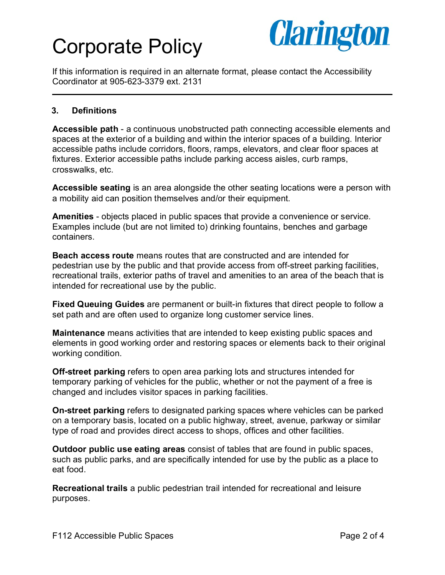

If this information is required in an alternate format, please contact the Accessibility Coordinator at 905-623-3379 ext. 2131

### **3. Definitions**

**Accessible path** - a continuous unobstructed path connecting accessible elements and spaces at the exterior of a building and within the interior spaces of a building. Interior accessible paths include corridors, floors, ramps, elevators, and clear floor spaces at fixtures. Exterior accessible paths include parking access aisles, curb ramps, crosswalks, etc.

**Accessible seating** is an area alongside the other seating locations were a person with a mobility aid can position themselves and/or their equipment.

**Amenities** - objects placed in public spaces that provide a convenience or service. Examples include (but are not limited to) drinking fountains, benches and garbage containers.

**Beach access route** means routes that are constructed and are intended for pedestrian use by the public and that provide access from off-street parking facilities, recreational trails, exterior paths of travel and amenities to an area of the beach that is intended for recreational use by the public.

**Fixed Queuing Guides** are permanent or built-in fixtures that direct people to follow a set path and are often used to organize long customer service lines.

**Maintenance** means activities that are intended to keep existing public spaces and elements in good working order and restoring spaces or elements back to their original working condition.

**Off-street parking** refers to open area parking lots and structures intended for temporary parking of vehicles for the public, whether or not the payment of a free is changed and includes visitor spaces in parking facilities.

**On-street parking** refers to designated parking spaces where vehicles can be parked on a temporary basis, located on a public highway, street, avenue, parkway or similar type of road and provides direct access to shops, offices and other facilities.

**Outdoor public use eating areas** consist of tables that are found in public spaces, such as public parks, and are specifically intended for use by the public as a place to eat food.

**Recreational trails** a public pedestrian trail intended for recreational and leisure purposes.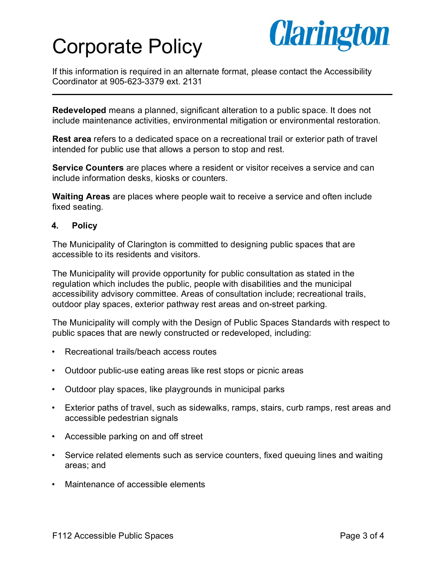

If this information is required in an alternate format, please contact the Accessibility Coordinator at 905-623-3379 ext. 2131

**Redeveloped** means a planned, significant alteration to a public space. It does not include maintenance activities, environmental mitigation or environmental restoration.

**Rest area** refers to a dedicated space on a recreational trail or exterior path of travel intended for public use that allows a person to stop and rest.

**Service Counters** are places where a resident or visitor receives a service and can include information desks, kiosks or counters.

**Waiting Areas** are places where people wait to receive a service and often include fixed seating.

### **4. Policy**

The Municipality of Clarington is committed to designing public spaces that are accessible to its residents and visitors.

The Municipality will provide opportunity for public consultation as stated in the regulation which includes the public, people with disabilities and the municipal accessibility advisory committee. Areas of consultation include; recreational trails, outdoor play spaces, exterior pathway rest areas and on-street parking.

The Municipality will comply with the Design of Public Spaces Standards with respect to public spaces that are newly constructed or redeveloped, including:

- Recreational trails/beach access routes
- Outdoor public-use eating areas like rest stops or picnic areas
- Outdoor play spaces, like playgrounds in municipal parks
- Exterior paths of travel, such as sidewalks, ramps, stairs, curb ramps, rest areas and accessible pedestrian signals
- Accessible parking on and off street
- Service related elements such as service counters, fixed queuing lines and waiting areas; and
- Maintenance of accessible elements